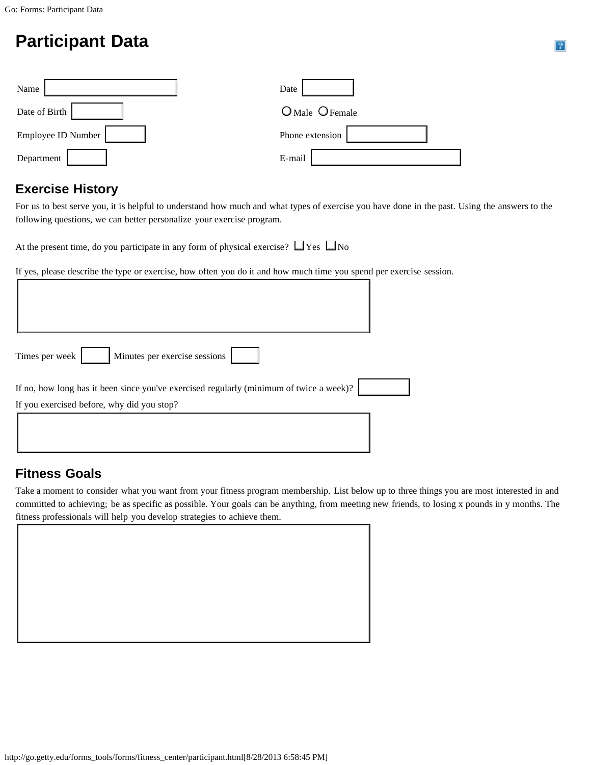# **Participant Data**

| Name               | Date            |
|--------------------|-----------------|
| Date of Birth      | O Male O Female |
| Employee ID Number | Phone extension |
| Department         | E-mail          |

# **Exercise History**

For us to best serve you, it is helpful to understand how much and what types of exercise you have done in the past. Using the answers to the following questions, we can better personalize your exercise program.

At the present time, do you participate in any form of physical exercise?  $\Box$  Yes  $\Box$  No

If yes, please describe the type or exercise, how often you do it and how much time you spend per exercise session.

| Minutes per exercise sessions<br>Times per week                                                                                       |  |
|---------------------------------------------------------------------------------------------------------------------------------------|--|
| If no, how long has it been since you've exercised regularly (minimum of twice a week)?<br>If you exercised before, why did you stop? |  |
|                                                                                                                                       |  |

# **Fitness Goals**

Take a moment to consider what you want from your fitness program membership. List below up to three things you are most interested in and committed to achieving; be as specific as possible. Your goals can be anything, from meeting new friends, to losing x pounds in y months. The fitness professionals will help you develop strategies to achieve them.

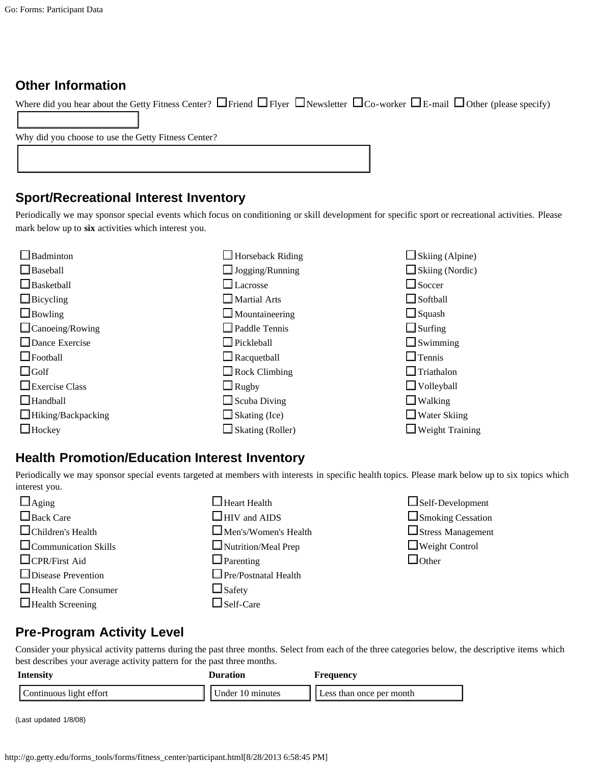#### **Other Information**

| Where did you hear about the Getty Fitness Center? $\Box$ Friend $\Box$ Flyer $\Box$ Newsletter $\Box$ Co-worker $\Box$ E-mail $\Box$ Other (please specify) |  |
|--------------------------------------------------------------------------------------------------------------------------------------------------------------|--|
|                                                                                                                                                              |  |
| Why did you choose to use the Getty Fitness Center?                                                                                                          |  |
|                                                                                                                                                              |  |
|                                                                                                                                                              |  |

#### **Sport/Recreational Interest Inventory**

Periodically we may sponsor special events which focus on conditioning or skill development for specific sport or recreational activities. Please mark below up to **six** activities which interest you.

| Badminton              | $\Box$ Horseback Riding | $\Box$ Skiing (Alpine) |
|------------------------|-------------------------|------------------------|
| $\Box$ Baseball        | $\Box$ Jogging/Running  | $\Box$ Skiing (Nordic) |
| $\Box$ Basketball      | $\Box$ Lacrosse         | $\Box$ Soccer          |
| $\Box$ Bicycling       | $\Box$ Martial Arts     | $\Box$ Softball        |
| $\Box$ Bowling         | $\Box$ Mountaineering   | $\Box$ Squash          |
| $\Box$ Canoeing/Rowing | $\Box$ Paddle Tennis    | $\Box$ Surfing         |
| $\Box$ Dance Exercise  | $\Box$ Pickleball       | $\Box$ Swimming        |
| $\Box$ Football        | $\Box$ Racquetball      | $\Box$ Tennis          |
| $\Box$ Golf            | $\Box$ Rock Climbing    | $\Box$ Triathalon      |
| $\Box$ Exercise Class  | $\Box$ Rugby            | $\Box$ Volleyball      |
| $\Box$ Handball        | $\Box$ Scuba Diving     | $\Box$ Walking         |
| Hiking/Backpacking     | $\Box$ Skating (Ice)    | $\Box$ Water Skiing    |
| $\Box$ Hockey          | $\Box$ Skating (Roller) | $\Box$ Weight Training |

### **Health Promotion/Education Interest Inventory**

Periodically we may sponsor special events targeted at members with interests in specific health topics. Please mark below up to six topics which interest you.

| $\Box$ Aging                | $\Box$ Heart Health         | $\Box$ Self-Development  |
|-----------------------------|-----------------------------|--------------------------|
| $\Box$ Back Care            | $\Box$ HIV and AIDS         | $\Box$ Smoking Cessation |
| $\Box$ Children's Health    | $\Box$ Men's/Women's Health | $\Box$ Stress Management |
| $\Box$ Communication Skills | $\Box$ Nutrition/Meal Prep  | $\Box$ Weight Control    |
| $\Box$ CPR/First Aid        | $\Box$ Parenting            | $\Box$ Other             |
| $\Box$ Disease Prevention   | $\Box$ Pre/Postnatal Health |                          |
| $\Box$ Health Care Consumer | $\Box$ Safety               |                          |
| $\Box$ Health Screening     | $\Box$ Self-Care            |                          |

## **Pre-Program Activity Level**

Consider your physical activity patterns during the past three months. Select from each of the three categories below, the descriptive items which best describes your average activity pattern for the past three months.

| Intensity               | Duration         | Frequency                |
|-------------------------|------------------|--------------------------|
| Continuous light effort | Under 10 minutes | Less than once per month |

(Last updated 1/8/08)